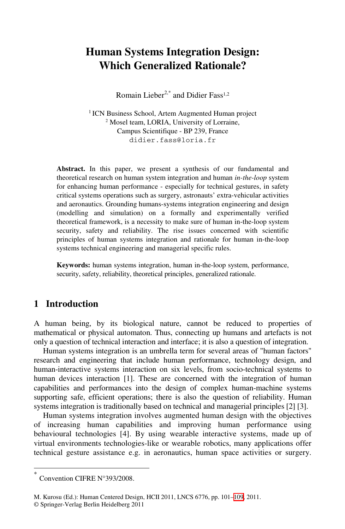# **Human Systems Integration Design: Which Generalized Rationale?**

Romain Lieber<sup>2,\*</sup> and Didier Fass<sup>1,2</sup>

<sup>1</sup> ICN Business School, Artem Augmented Human project <sup>2</sup> Mosel team, LORIA, University of Lorraine, Campus Scientifique - BP 239, France didier.fass@loria.fr

**Abstract.** In this paper, we present a synthesis of our fundamental and theoretical research on human system integration and human *in-the-loop* system for enhancing human performance - especially for technical gestures, in safety critical systems operations such as surgery, astronauts' extra-vehicular activities and aeronautics. Grounding humans-systems integration engineering and design (modelling and simulation) on a formally and experimentally verified theoretical framework, is a necessity to make sure of human in-the-loop system security, safety and reliability. The rise issues concerned with scientific principles of human systems integration and rationale for human in-the-loop systems technical engineering and managerial specific rules.

**Keywords:** human systems integration, human in-the-loop system, performance, security, safety, reliability, theoretical principles, generalized rationale.

## **1 Introduction**

A human being, by its biological nature, cannot be reduced to properties of mathematical or physical automaton. Thus, connecting up humans and artefacts is not only a question of technical interaction and interface; it is also a question of integration.

Human systems integration is an umbrella term for several areas of "human factors" research and engineering that include human performance, technology design, and human-interactive systems interaction on six levels, from socio-technical systems to human devices interaction [1]. These are concerned with the integration of human capabilities and performances into the design of complex human-machine systems supporting safe, efficient operations; there is also the question of reliability. Human systems integration is traditionally based on technical and managerial principles [2] [3].

Human systems integration involves augmented human design with the objectives of increasing human capabilities an[d](#page-8-0) improving human performance using behavioural technologies [4]. By using wearable interactive systems, made up of virtual environments technologies-like or wearable robotics, many applications offer technical gesture assistance e.g. in aeronautics, human space activities or surgery.

l

© Springer-Verlag Berlin Heidelberg 2011

Convention CIFRE N°393/2008.

M. Kurosu (Ed.): Human Centered Design, HCII 2011, LNCS 6776, pp. 101–109, 2011.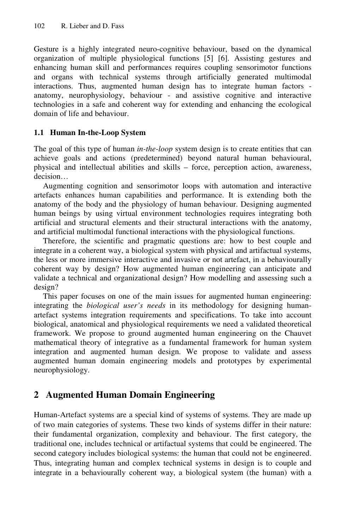Gesture is a highly integrated neuro-cognitive behaviour, based on the dynamical organization of multiple physiological functions [5] [6]. Assisting gestures and enhancing human skill and performances requires coupling sensorimotor functions and organs with technical systems through artificially generated multimodal interactions. Thus, augmented human design has to integrate human factors anatomy, neurophysiology, behaviour - and assistive cognitive and interactive technologies in a safe and coherent way for extending and enhancing the ecological domain of life and behaviour.

### **1.1 Human In-the-Loop System**

The goal of this type of human *in-the-loop* system design is to create entities that can achieve goals and actions (predetermined) beyond natural human behavioural, physical and intellectual abilities and skills – force, perception action, awareness, decision…

Augmenting cognition and sensorimotor loops with automation and interactive artefacts enhances human capabilities and performance. It is extending both the anatomy of the body and the physiology of human behaviour. Designing augmented human beings by using virtual environment technologies requires integrating both artificial and structural elements and their structural interactions with the anatomy, and artificial multimodal functional interactions with the physiological functions.

Therefore, the scientific and pragmatic questions are: how to best couple and integrate in a coherent way, a biological system with physical and artifactual systems, the less or more immersive interactive and invasive or not artefact, in a behaviourally coherent way by design? How augmented human engineering can anticipate and validate a technical and organizational design? How modelling and assessing such a design?

This paper focuses on one of the main issues for augmented human engineering: integrating the *biological user's needs* in its methodology for designing humanartefact systems integration requirements and specifications. To take into account biological, anatomical and physiological requirements we need a validated theoretical framework. We propose to ground augmented human engineering on the Chauvet mathematical theory of integrative as a fundamental framework for human system integration and augmented human design. We propose to validate and assess augmented human domain engineering models and prototypes by experimental neurophysiology.

## **2 Augmented Human Domain Engineering**

Human-Artefact systems are a special kind of systems of systems. They are made up of two main categories of systems. These two kinds of systems differ in their nature: their fundamental organization, complexity and behaviour. The first category, the traditional one, includes technical or artifactual systems that could be engineered. The second category includes biological systems: the human that could not be engineered. Thus, integrating human and complex technical systems in design is to couple and integrate in a behaviourally coherent way, a biological system (the human) with a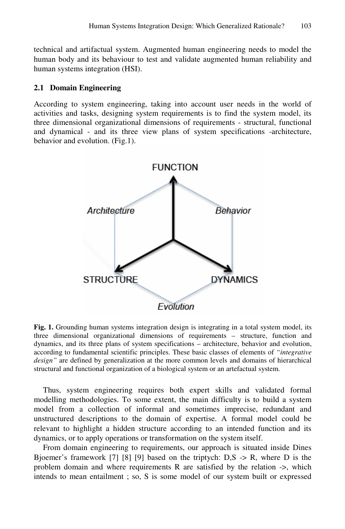technical and artifactual system. Augmented human engineering needs to model the human body and its behaviour to test and validate augmented human reliability and human systems integration (HSI).

#### **2.1 Domain Engineering**

According to system engineering, taking into account user needs in the world of activities and tasks, designing system requirements is to find the system model, its three dimensional organizational dimensions of requirements - structural, functional and dynamical - and its three view plans of system specifications -architecture, behavior and evolution. (Fig.1).



**Fig. 1.** Grounding human systems integration design is integrating in a total system model, its three dimensional organizational dimensions of requirements – structure, function and dynamics, and its three plans of system specifications – architecture, behavior and evolution, according to fundamental scientific principles. These basic classes of elements of *"integrative design"* are defined by generalization at the more common levels and domains of hierarchical structural and functional organization of a biological system or an artefactual system.

Thus, system engineering requires both expert skills and validated formal modelling methodologies. To some extent, the main difficulty is to build a system model from a collection of informal and sometimes imprecise, redundant and unstructured descriptions to the domain of expertise. A formal model could be relevant to highlight a hidden structure according to an intended function and its dynamics, or to apply operations or transformation on the system itself.

From domain engineering to requirements, our approach is situated inside Dines Bjoemer's framework [7] [8] [9] based on the triptych:  $D, S \rightarrow R$ , where D is the problem domain and where requirements R are satisfied by the relation ->, which intends to mean entailment ; so, S is some model of our system built or expressed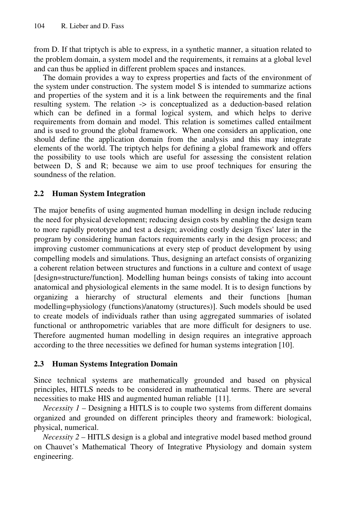from D. If that triptych is able to express, in a synthetic manner, a situation related to the problem domain, a system model and the requirements, it remains at a global level and can thus be applied in different problem spaces and instances.

The domain provides a way to express properties and facts of the environment of the system under construction. The system model S is intended to summarize actions and properties of the system and it is a link between the requirements and the final resulting system. The relation -> is conceptualized as a deduction-based relation which can be defined in a formal logical system, and which helps to derive requirements from domain and model. This relation is sometimes called entailment and is used to ground the global framework. When one considers an application, one should define the application domain from the analysis and this may integrate elements of the world. The triptych helps for defining a global framework and offers the possibility to use tools which are useful for assessing the consistent relation between D, S and R; because we aim to use proof techniques for ensuring the soundness of the relation.

## **2.2 Human System Integration**

The major benefits of using augmented human modelling in design include reducing the need for physical development; reducing design costs by enabling the design team to more rapidly prototype and test a design; avoiding costly design 'fixes' later in the program by considering human factors requirements early in the design process; and improving customer communications at every step of product development by using compelling models and simulations. Thus, designing an artefact consists of organizing a coherent relation between structures and functions in a culture and context of usage [design=structure/function]. Modelling human beings consists of taking into account anatomical and physiological elements in the same model. It is to design functions by organizing a hierarchy of structural elements and their functions [human modelling=physiology (functions)/anatomy (structures)]. Such models should be used to create models of individuals rather than using aggregated summaries of isolated functional or anthropometric variables that are more difficult for designers to use. Therefore augmented human modelling in design requires an integrative approach according to the three necessities we defined for human systems integration [10].

### **2.3 Human Systems Integration Domain**

Since technical systems are mathematically grounded and based on physical principles, HITLS needs to be considered in mathematical terms. There are several necessities to make HIS and augmented human reliable [11].

*Necessity 1* – Designing a HITLS is to couple two systems from different domains organized and grounded on different principles theory and framework: biological, physical, numerical.

*Necessity 2* – HITLS design is a global and integrative model based method ground on Chauvet's Mathematical Theory of Integrative Physiology and domain system engineering.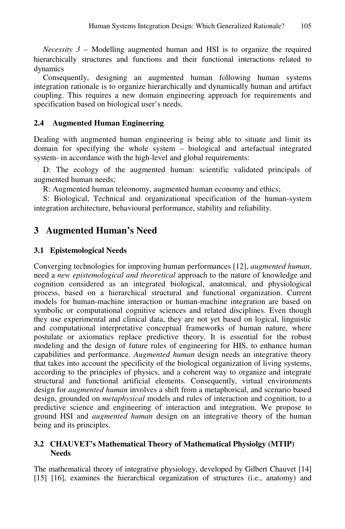*Necessity 3* – Modelling augmented human and HSI is to organize the required hierarchically structures and functions and their functional interactions related to dynamics

Consequently, designing an augmented human following human systems integration rationale is to organize hierarchically and dynamically human and artifact coupling. This requires a new domain engineering approach for requirements and specification based on biological user's needs.

### **2.4 Augmented Human Engineering**

Dealing with augmented human engineering is being able to situate and limit its domain for specifying the whole system – biological and artefactual integrated system- in accordance with the high-level and global requirements:

D: The ecology of the augmented human: scientific validated principals of augmented human needs;

R: Augmented human teleonomy, augmented human economy and ethics;

S: Biological, Technical and organizational specification of the human-system integration architecture, behavioural performance, stability and reliability.

# **3 Augmented Human's Need**

#### **3.1 Epistemological Needs**

Converging technologies for improving human performances [12], *augmented human*, need a *new epistemological and theoretical* approach to the nature of knowledge and cognition considered as an integrated biological, anatomical, and physiological process, based on a hierarchical structural and functional organization. Current models for human-machine interaction or human-machine integration are based on symbolic or computational cognitive sciences and related disciplines. Even though they use experimental and clinical data, they are not yet based on logical, linguistic and computational interpretative conceptual frameworks of human nature, where postulate or axiomatics replace predictive theory. It is essential for the robust modeling and the design of future rules of engineering for HIS, to enhance human capabilities and performance. *Augmented human* design needs an integrative theory that takes into account the specificity of the biological organization of living systems, according to the principles of physics, and a coherent way to organize and integrate structural and functional artificial elements. Consequently, virtual environments design for *augmented human* involves a shift from a metaphorical, and scenario based design, grounded on *metaphysical* models and rules of interaction and cognition, to a predictive science and engineering of interaction and integration. We propose to ground HSI and *augmented human* design on an integrative theory of the human being and its principles.

#### **3.2 CHAUVET's Mathematical Theory of Mathematical Physiolgy (MTIP) Needs**

The mathematical theory of integrative physiology, developed by Gilbert Chauvet [14] [15] [16], examines the hierarchical organization of structures (i.e., anatomy) and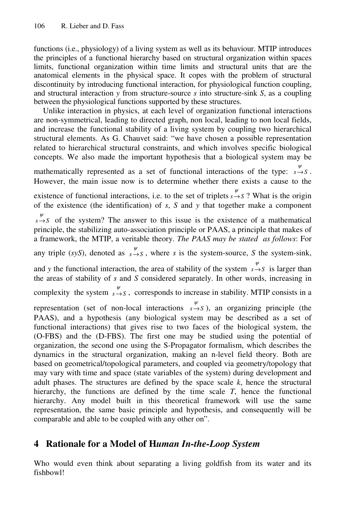functions (i.e., physiology) of a living system as well as its behaviour. MTIP introduces the principles of a functional hierarchy based on structural organization within spaces limits, functional organization within time limits and structural units that are the anatomical elements in the physical space. It copes with the problem of structural discontinuity by introducing functional interaction, for physiological function coupling, and structural interaction *y* from structure-source *s* into structure-sink *S*, as a coupling between the physiological functions supported by these structures.

Unlike interaction in physics, at each level of organization functional interactions are non-symmetrical, leading to directed graph, non local, leading to non local fields, and increase the functional stability of a living system by coupling two hierarchical structural elements. As G. Chauvet said: "we have chosen a possible representation related to hierarchical structural constraints, and which involves specific biological concepts. We also made the important hypothesis that a biological system may be

mathematically represented as a set of functional interactions of the type:  $s \rightarrow s$ . However, the main issue now is to determine whether there exists a cause to the

existence of functional interactions, i.e. to the set of triplets  $s \rightarrow s$ ? What is the origin of the existence (the identification) of *s*, *S* and *y* that together make a component

 $s \rightarrow s$  of the system? The answer to this issue is the existence of a mathematical principle, the stabilizing auto-association principle or PAAS, a principle that makes of a framework, the MTIP, a veritable theory. *The PAAS may be stated as follows*: For

any triple (*syS*), denoted as  $s \stackrel{\psi}{\rightarrow} s$ , where *s* is the system-source, *S* the system-sink,

and *y* the functional interaction, the area of stability of the system  $s \rightarrow S$  is larger than the areas of stability of *s* and *S* considered separately. In other words, increasing in

complexity the system  $s \stackrel{\psi}{\rightarrow} s$ , corresponds to increase in stability. MTIP consists in a

representation (set of non-local interactions  $s \rightarrow S$ ), an organizing principle (the PAAS), and a hypothesis (any biological system may be described as a set of functional interactions) that gives rise to two faces of the biological system, the (O-FBS) and the (D-FBS). The first one may be studied using the potential of organization, the second one using the S-Propagator formalism, which describes the dynamics in the structural organization, making an n-level field theory. Both are based on geometrical/topological parameters, and coupled via geometry/topology that may vary with time and space (state variables of the system) during development and adult phases. The structures are defined by the space scale  $k$ , hence the structural hierarchy, the functions are defined by the time scale *T*, hence the functional hierarchy. Any model built in this theoretical framework will use the same representation, the same basic principle and hypothesis, and consequently will be comparable and able to be coupled with any other on".

## **4 Rationale for a Model of H***uman In-the-Loop System*

Who would even think about separating a living goldfish from its water and its fishbowl!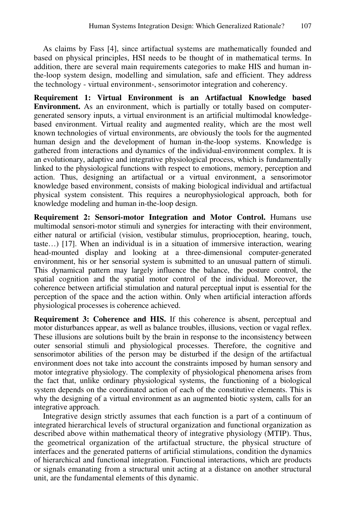As claims by Fass [4], since artifactual systems are mathematically founded and based on physical principles, HSI needs to be thought of in mathematical terms. In addition, there are several main requirements categories to make HIS and human inthe-loop system design, modelling and simulation, safe and efficient. They address the technology - virtual environment-, sensorimotor integration and coherency.

**Requirement 1: Virtual Environment is an Artifactual Knowledge based Environment.** As an environment, which is partially or totally based on computergenerated sensory inputs, a virtual environment is an artificial multimodal knowledgebased environment. Virtual reality and augmented reality, which are the most well known technologies of virtual environments, are obviously the tools for the augmented human design and the development of human in-the-loop systems. Knowledge is gathered from interactions and dynamics of the individual-environment complex. It is an evolutionary, adaptive and integrative physiological process, which is fundamentally linked to the physiological functions with respect to emotions, memory, perception and action. Thus, designing an artifactual or a virtual environment, a sensorimotor knowledge based environment, consists of making biological individual and artifactual physical system consistent. This requires a neurophysiological approach, both for knowledge modeling and human in-the-loop design.

**Requirement 2: Sensori-motor Integration and Motor Control.** Humans use multimodal sensori-motor stimuli and synergies for interacting with their environment, either natural or artificial (vision, vestibular stimulus, proprioception, hearing, touch, taste…) [17]. When an individual is in a situation of immersive interaction, wearing head-mounted display and looking at a three-dimensional computer-generated environment, his or her sensorial system is submitted to an unusual pattern of stimuli. This dynamical pattern may largely influence the balance, the posture control, the spatial cognition and the spatial motor control of the individual. Moreover, the coherence between artificial stimulation and natural perceptual input is essential for the perception of the space and the action within. Only when artificial interaction affords physiological processes is coherence achieved.

**Requirement 3: Coherence and HIS.** If this coherence is absent, perceptual and motor disturbances appear, as well as balance troubles, illusions, vection or vagal reflex. These illusions are solutions built by the brain in response to the inconsistency between outer sensorial stimuli and physiological processes. Therefore, the cognitive and sensorimotor abilities of the person may be disturbed if the design of the artifactual environment does not take into account the constraints imposed by human sensory and motor integrative physiology. The complexity of physiological phenomena arises from the fact that, unlike ordinary physiological systems, the functioning of a biological system depends on the coordinated action of each of the constitutive elements. This is why the designing of a virtual environment as an augmented biotic system, calls for an integrative approach.

Integrative design strictly assumes that each function is a part of a continuum of integrated hierarchical levels of structural organization and functional organization as described above within mathematical theory of integrative physiology (MTIP). Thus, the geometrical organization of the artifactual structure, the physical structure of interfaces and the generated patterns of artificial stimulations, condition the dynamics of hierarchical and functional integration. Functional interactions, which are products or signals emanating from a structural unit acting at a distance on another structural unit, are the fundamental elements of this dynamic.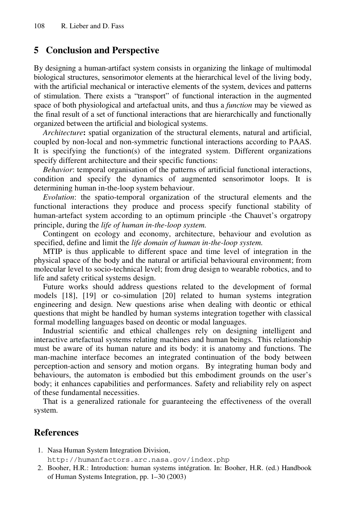## **5 Conclusion and Perspective**

By designing a human-artifact system consists in organizing the linkage of multimodal biological structures, sensorimotor elements at the hierarchical level of the living body, with the artificial mechanical or interactive elements of the system, devices and patterns of stimulation. There exists a "transport" of functional interaction in the augmented space of both physiological and artefactual units, and thus a *function* may be viewed as the final result of a set of functional interactions that are hierarchically and functionally organized between the artificial and biological systems.

*Architecture***:** spatial organization of the structural elements, natural and artificial, coupled by non-local and non-symmetric functional interactions according to PAAS. It is specifying the function(s) of the integrated system. Different organizations specify different architecture and their specific functions:

*Behavior*: temporal organisation of the patterns of artificial functional interactions, condition and specify the dynamics of augmented sensorimotor loops. It is determining human in-the-loop system behaviour.

*Evolution*: the spatio-temporal organization of the structural elements and the functional interactions they produce and process specify functional stability of human-artefact system according to an optimum principle -the Chauvet's orgatropy principle, during the *life of human in-the-loop system.* 

Contingent on ecology and economy, architecture, behaviour and evolution as specified, define and limit the *life domain of human in-the-loop system.* 

MTIP is thus applicable to different space and time level of integration in the physical space of the body and the natural or artificial behavioural environment; from molecular level to socio-technical level; from drug design to wearable robotics, and to life and safety critical systems design.

Future works should address questions related to the development of formal models [18], [19] or co-simulation [20] related to human systems integration engineering and design. New questions arise when dealing with deontic or ethical questions that might be handled by human systems integration together with classical formal modelling languages based on deontic or modal languages.

Industrial scientific and ethical challenges rely on designing intelligent and interactive artefactual systems relating machines and human beings. This relationship must be aware of its human nature and its body: it is anatomy and functions. The man-machine interface becomes an integrated continuation of the body between perception-action and sensory and motion organs. By integrating human body and behaviours, the automaton is embodied but this embodiment grounds on the user's body; it enhances capabilities and performances. Safety and reliability rely on aspect of these fundamental necessities.

That is a generalized rationale for guaranteeing the effectiveness of the overall system.

### **References**

- 1. Nasa Human System Integration Division, http://humanfactors.arc.nasa.gov/index.php
- 2. Booher, H.R.: Introduction: human systems intégration. In: Booher, H.R. (ed.) Handbook of Human Systems Integration, pp. 1–30 (2003)